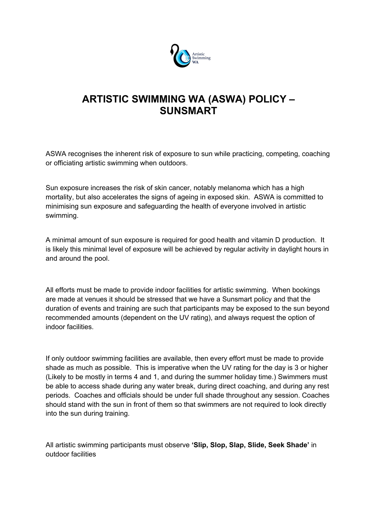

## **ARTISTIC SWIMMING WA (ASWA) POLICY – SUNSMART**

ASWA recognises the inherent risk of exposure to sun while practicing, competing, coaching or officiating artistic swimming when outdoors.

Sun exposure increases the risk of skin cancer, notably melanoma which has a high mortality, but also accelerates the signs of ageing in exposed skin. ASWA is committed to minimising sun exposure and safeguarding the health of everyone involved in artistic swimming.

A minimal amount of sun exposure is required for good health and vitamin D production. It is likely this minimal level of exposure will be achieved by regular activity in daylight hours in and around the pool.

All efforts must be made to provide indoor facilities for artistic swimming. When bookings are made at venues it should be stressed that we have a Sunsmart policy and that the duration of events and training are such that participants may be exposed to the sun beyond recommended amounts (dependent on the UV rating), and always request the option of indoor facilities.

If only outdoor swimming facilities are available, then every effort must be made to provide shade as much as possible. This is imperative when the UV rating for the day is 3 or higher (Likely to be mostly in terms 4 and 1, and during the summer holiday time.) Swimmers must be able to access shade during any water break, during direct coaching, and during any rest periods. Coaches and officials should be under full shade throughout any session. Coaches should stand with the sun in front of them so that swimmers are not required to look directly into the sun during training.

All artistic swimming participants must observe **'Slip, Slop, Slap, Slide, Seek Shade'** in outdoor facilities